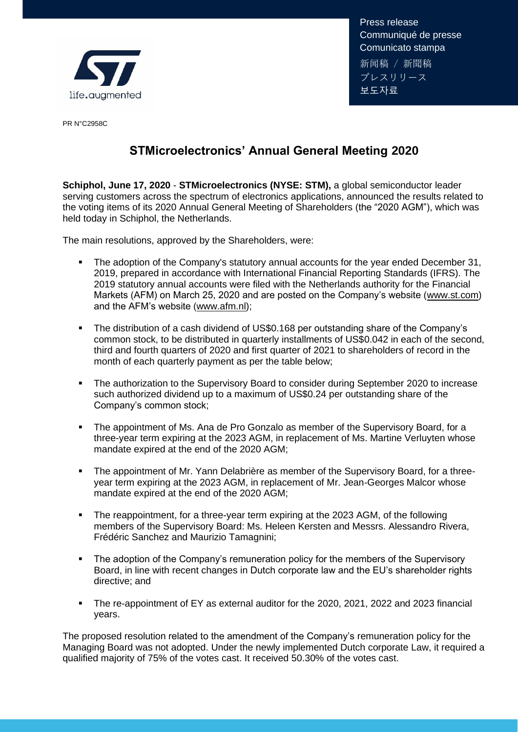

Press release Communiqué de presse Comunicato stampa 新闻稿 / 新聞稿 プレスリリース 보도자료

PR N°C2958C

## **STMicroelectronics' Annual General Meeting 2020**

**Schiphol, June 17, 2020** - **STMicroelectronics (NYSE: STM),** a global semiconductor leader serving customers across the spectrum of electronics applications, announced the results related to the voting items of its 2020 Annual General Meeting of Shareholders (the "2020 AGM"), which was held today in Schiphol, the Netherlands.

The main resolutions, approved by the Shareholders, were:

- The adoption of the Company's statutory annual accounts for the year ended December 31, 2019, prepared in accordance with International Financial Reporting Standards (IFRS). The 2019 statutory annual accounts were filed with the Netherlands authority for the Financial Markets (AFM) on March 25, 2020 and are posted on the Company's website [\(www.st.com\)](http://www.st.com/) and the AFM's website [\(www.afm.nl\)](http://www.afm.nl/);
- The distribution of a cash dividend of US\$0.168 per outstanding share of the Company's common stock, to be distributed in quarterly installments of US\$0.042 in each of the second, third and fourth quarters of 2020 and first quarter of 2021 to shareholders of record in the month of each quarterly payment as per the table below;
- The authorization to the Supervisory Board to consider during September 2020 to increase such authorized dividend up to a maximum of US\$0.24 per outstanding share of the Company's common stock;
- The appointment of Ms. Ana de Pro Gonzalo as member of the Supervisory Board, for a three-year term expiring at the 2023 AGM, in replacement of Ms. Martine Verluyten whose mandate expired at the end of the 2020 AGM;
- **•** The appointment of Mr. Yann Delabrière as member of the Supervisory Board, for a threeyear term expiring at the 2023 AGM, in replacement of Mr. Jean-Georges Malcor whose mandate expired at the end of the 2020 AGM;
- **•** The reappointment, for a three-year term expiring at the 2023 AGM, of the following members of the Supervisory Board: Ms. Heleen Kersten and Messrs. Alessandro Rivera, Frédéric Sanchez and Maurizio Tamagnini;
- The adoption of the Company's remuneration policy for the members of the Supervisory Board, in line with recent changes in Dutch corporate law and the EU's shareholder rights directive; and
- The re-appointment of EY as external auditor for the 2020, 2021, 2022 and 2023 financial years.

The proposed resolution related to the amendment of the Company's remuneration policy for the Managing Board was not adopted. Under the newly implemented Dutch corporate Law, it required a qualified majority of 75% of the votes cast. It received 50.30% of the votes cast.